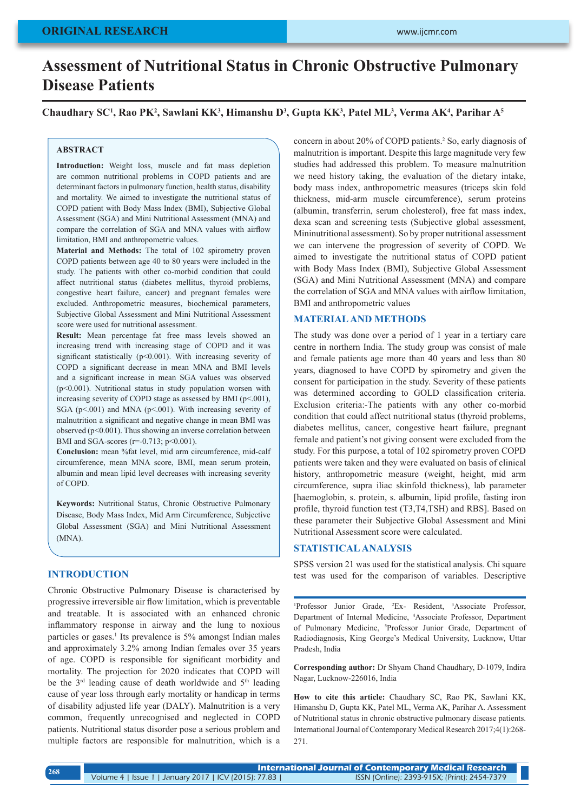# **Assessment of Nutritional Status in Chronic Obstructive Pulmonary Disease Patients**

**Chaudhary SC1 , Rao PK2 , Sawlani KK3 , Himanshu D3 , Gupta KK3 , Patel ML3 , Verma AK4 , Parihar A5**

## **ABSTRACT**

**Introduction:** Weight loss, muscle and fat mass depletion are common nutritional problems in COPD patients and are determinant factors in pulmonary function, health status, disability and mortality. We aimed to investigate the nutritional status of COPD patient with Body Mass Index (BMI), Subjective Global Assessment (SGA) and Mini Nutritional Assessment (MNA) and compare the correlation of SGA and MNA values with airflow limitation, BMI and anthropometric values.

**Material and Methods:** The total of 102 spirometry proven COPD patients between age 40 to 80 years were included in the study. The patients with other co-morbid condition that could affect nutritional status (diabetes mellitus, thyroid problems, congestive heart failure, cancer) and pregnant females were excluded. Anthropometric measures, biochemical parameters, Subjective Global Assessment and Mini Nutritional Assessment score were used for nutritional assessment.

**Result:** Mean percentage fat free mass levels showed an increasing trend with increasing stage of COPD and it was significant statistically (p<0.001). With increasing severity of COPD a significant decrease in mean MNA and BMI levels and a significant increase in mean SGA values was observed (p<0.001). Nutritional status in study population worsen with increasing severity of COPD stage as assessed by BMI ( $p<001$ ), SGA ( $p$ <.001) and MNA ( $p$ <.001). With increasing severity of malnutrition a significant and negative change in mean BMI was observed (p<0.001). Thus showing an inverse correlation between BMI and SGA-scores ( $r=0.713$ ;  $p<0.001$ ).

**Conclusion:** mean %fat level, mid arm circumference, mid-calf circumference, mean MNA score, BMI, mean serum protein, albumin and mean lipid level decreases with increasing severity of COPD.

**Keywords:** Nutritional Status, Chronic Obstructive Pulmonary Disease, Body Mass Index, Mid Arm Circumference, Subjective Global Assessment (SGA) and Mini Nutritional Assessment (MNA).

# **INTRODUCTION**

Chronic Obstructive Pulmonary Disease is characterised by progressive irreversible air flow limitation, which is preventable and treatable. It is associated with an enhanced chronic inflammatory response in airway and the lung to noxious particles or gases.<sup>1</sup> Its prevalence is 5% amongst Indian males and approximately 3.2% among Indian females over 35 years of age. COPD is responsible for significant morbidity and mortality. The projection for 2020 indicates that COPD will be the  $3<sup>rd</sup>$  leading cause of death worldwide and  $5<sup>th</sup>$  leading cause of year loss through early mortality or handicap in terms of disability adjusted life year (DALY). Malnutrition is a very common, frequently unrecognised and neglected in COPD patients. Nutritional status disorder pose a serious problem and multiple factors are responsible for malnutrition, which is a

concern in about 20% of COPD patients.<sup>2</sup> So, early diagnosis of malnutrition is important. Despite this large magnitude very few studies had addressed this problem. To measure malnutrition we need history taking, the evaluation of the dietary intake, body mass index, anthropometric measures (triceps skin fold thickness, mid-arm muscle circumference), serum proteins (albumin, transferrin, serum cholesterol), free fat mass index, dexa scan and screening tests (Subjective global assessment, Mininutritional assessment). So by proper nutritional assessment we can intervene the progression of severity of COPD. We aimed to investigate the nutritional status of COPD patient with Body Mass Index (BMI), Subjective Global Assessment (SGA) and Mini Nutritional Assessment (MNA) and compare the correlation of SGA and MNA values with airflow limitation, BMI and anthropometric values

# **MATERIAL AND METHODS**

The study was done over a period of 1 year in a tertiary care centre in northern India. The study group was consist of male and female patients age more than 40 years and less than 80 years, diagnosed to have COPD by spirometry and given the consent for participation in the study. Severity of these patients was determined according to GOLD classification criteria. Exclusion criteria:-The patients with any other co-morbid condition that could affect nutritional status (thyroid problems, diabetes mellitus, cancer, congestive heart failure, pregnant female and patient's not giving consent were excluded from the study. For this purpose, a total of 102 spirometry proven COPD patients were taken and they were evaluated on basis of clinical history, anthropometric measure (weight, height, mid arm circumference, supra iliac skinfold thickness), lab parameter [haemoglobin, s. protein, s. albumin, lipid profile, fasting iron profile, thyroid function test (T3,T4,TSH) and RBS]. Based on these parameter their Subjective Global Assessment and Mini Nutritional Assessment score were calculated.

# **STATISTICAL ANALYSIS**

SPSS version 21 was used for the statistical analysis. Chi square test was used for the comparison of variables. Descriptive

<sup>1</sup>Professor Junior Grade, <sup>2</sup>Ex- Resident, <sup>3</sup>Associate Professor, Department of Internal Medicine, 4 Associate Professor, Department of Pulmonary Medicine, <sup>5</sup>Professor Junior Grade, Department of Radiodiagnosis, King George's Medical University, Lucknow, Uttar Pradesh, India

**Corresponding author:** Dr Shyam Chand Chaudhary, D-1079, Indira Nagar, Lucknow-226016, India

**How to cite this article:** Chaudhary SC, Rao PK, Sawlani KK, Himanshu D, Gupta KK, Patel ML, Verma AK, Parihar A. Assessment of Nutritional status in chronic obstructive pulmonary disease patients. International Journal of Contemporary Medical Research 2017;4(1):268- 271.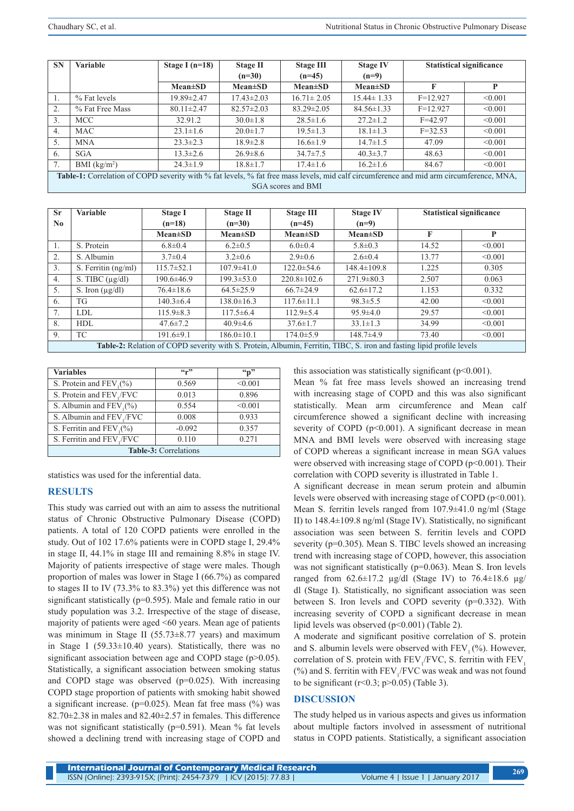| <b>SN</b>                                                                                                                               | <b>Variable</b> | Stage I $(n=18)$ | <b>Stage II</b>  | <b>Stage III</b> | <b>Stage IV</b>  |             | <b>Statistical significance</b> |
|-----------------------------------------------------------------------------------------------------------------------------------------|-----------------|------------------|------------------|------------------|------------------|-------------|---------------------------------|
|                                                                                                                                         |                 |                  | $(n=30)$         | $(n=45)$         | $(n=9)$          |             |                                 |
|                                                                                                                                         |                 | $Mean \pm SD$    | $Mean \pm SD$    | $Mean \pm SD$    | $Mean \pm SD$    | F           | P                               |
|                                                                                                                                         | % Fat levels    | 19.89±2.47       | $17.43 \pm 2.03$ | $16.71 \pm 2.05$ | $15.44 \pm 1.33$ | $F=12.927$  | < 0.001                         |
| 2.                                                                                                                                      | % Fat Free Mass | $80.11 \pm 2.47$ | $82.57 \pm 2.03$ | $83.29 \pm 2.05$ | $84.56 \pm 1.33$ | $F=12.927$  | < 0.001                         |
| 3.                                                                                                                                      | MCC.            | 32.91.2          | $30.0 \pm 1.8$   | $28.5 \pm 1.6$   | $27.2 \pm 1.2$   | $F = 42.97$ | < 0.001                         |
| 4.                                                                                                                                      | <b>MAC</b>      | $23.1 \pm 1.6$   | $20.0 \pm 1.7$   | $19.5 \pm 1.3$   | $18.1 \pm 1.3$   | $F = 32.53$ | < 0.001                         |
| 5.                                                                                                                                      | <b>MNA</b>      | $23.3 \pm 2.3$   | $18.9 \pm 2.8$   | $16.6 \pm 1.9$   | $14.7 \pm 1.5$   | 47.09       | < 0.001                         |
| 6.                                                                                                                                      | SGA             | $13.3 \pm 2.6$   | $26.9 \pm 8.6$   | $34.7 \pm 7.5$   | $40.3 \pm 3.7$   | 48.63       | < 0.001                         |
| 7.                                                                                                                                      | BMI $(kg/m2)$   | $24.3 \pm 1.9$   | $18.8 \pm 1.7$   | $17.4 \pm 1.6$   | $16.2 \pm 1.6$   | 84.67       | < 0.001                         |
| Table-1: Correlation of COPD severity with % fat levels, % fat free mass levels, mid calf circumference and mid arm circumference, MNA, |                 |                  |                  |                  |                  |             |                                 |
| SGA scores and BMI                                                                                                                      |                 |                  |                  |                  |                  |             |                                 |

| <b>Sr</b>                                                                                                             | <b>Variable</b>      | Stage I          | <b>Stage II</b>  | <b>Stage III</b>  | <b>Stage IV</b>   | <b>Statistical significance</b> |         |
|-----------------------------------------------------------------------------------------------------------------------|----------------------|------------------|------------------|-------------------|-------------------|---------------------------------|---------|
| $\bf No$                                                                                                              |                      | $(n=18)$         | $(n=30)$         | $(n=45)$          | $(n=9)$           |                                 |         |
|                                                                                                                       |                      | $Mean \pm SD$    | $Mean \pm SD$    | $Mean \pm SD$     | $Mean \pm SD$     | F                               | P       |
|                                                                                                                       | S. Protein           | $6.8 \pm 0.4$    | $6.2 \pm 0.5$    | $6.0 \pm 0.4$     | $5.8 \pm 0.3$     | 14.52                           | < 0.001 |
| 2.                                                                                                                    | S. Albumin           | $3.7 \pm 0.4$    | $3.2 \pm 0.6$    | $2.9 \pm 0.6$     | $2.6 \pm 0.4$     | 13.77                           | < 0.001 |
| 3.                                                                                                                    | S. Ferritin (ng/ml)  | $115.7 \pm 52.1$ | $107.9 \pm 41.0$ | $122.0 \pm 54.6$  | $148.4 \pm 109.8$ | 1.225                           | 0.305   |
| 4.                                                                                                                    | S. TIBC $(\mu g/dl)$ | $190.6 \pm 46.9$ | $199.3 \pm 53.0$ | $220.8 \pm 102.6$ | $271.9 \pm 80.3$  | 2.507                           | 0.063   |
| 5.                                                                                                                    | S. Iron $(\mu g/dl)$ | $76.4 \pm 18.6$  | $64.5 \pm 25.9$  | $66.7 \pm 24.9$   | $62.6 \pm 17.2$   | 1.153                           | 0.332   |
| 6.                                                                                                                    | TG                   | $140.3 \pm 6.4$  | $138.0 \pm 16.3$ | $117.6 \pm 11.1$  | $98.3 \pm 5.5$    | 42.00                           | < 0.001 |
| 7.                                                                                                                    | LDL                  | $115.9 \pm 8.3$  | $117.5 \pm 6.4$  | $112.9 \pm 5.4$   | $95.9 \pm 4.0$    | 29.57                           | < 0.001 |
| 8.                                                                                                                    | <b>HDL</b>           | $47.6 \pm 7.2$   | $40.9\pm4.6$     | $37.6 \pm 1.7$    | $33.1 \pm 1.3$    | 34.99                           | < 0.001 |
| 9 <sub>1</sub>                                                                                                        | TC.                  | $191.6 \pm 9.1$  | $186.0 \pm 10.1$ | $174.0 \pm 5.9$   | $148.7\pm4.9$     | 73.40                           | < 0.001 |
| Table-2: Relation of COPD severity with S. Protein, Albumin, Ferritin, TIBC, S. iron and fasting lipid profile levels |                      |                  |                  |                   |                   |                                 |         |

| <b>Variables</b>                     | $\mathfrak{c}$ $\mathfrak{c}$ $\mathfrak{p}$ | $\mathbf{G}_{\mathbf{D}}$ |  |  |  |
|--------------------------------------|----------------------------------------------|---------------------------|--|--|--|
| S. Protein and $FEV_1(\%)$           | 0.569                                        | < 0.001                   |  |  |  |
| S. Protein and FEV <sub>1</sub> /FVC | 0.013                                        | 0.896                     |  |  |  |
| S. Albumin and $FEV_1(\%)$           | 0.554                                        | < 0.001                   |  |  |  |
| S. Albumin and FEV,/FVC              | 0.008                                        | 0.933                     |  |  |  |
| S. Ferritin and $FEV1(%)$            | $-0.092$                                     | 0.357                     |  |  |  |
| S. Ferritin and FEV / FVC            | 0.110                                        | 0.271                     |  |  |  |
| Table-3: Correlations                |                                              |                           |  |  |  |

statistics was used for the inferential data.

# **RESULTS**

This study was carried out with an aim to assess the nutritional status of Chronic Obstructive Pulmonary Disease (COPD) patients. A total of 120 COPD patients were enrolled in the study. Out of 102 17.6% patients were in COPD stage I, 29.4% in stage II, 44.1% in stage III and remaining 8.8% in stage IV. Majority of patients irrespective of stage were males. Though proportion of males was lower in Stage I (66.7%) as compared to stages II to IV (73.3% to 83.3%) yet this difference was not significant statistically (p=0.595). Male and female ratio in our study population was 3.2. Irrespective of the stage of disease, majority of patients were aged <60 years. Mean age of patients was minimum in Stage II (55.73±8.77 years) and maximum in Stage I (59.33±10.40 years). Statistically, there was no significant association between age and COPD stage (p>0.05). Statistically, a significant association between smoking status and COPD stage was observed  $(p=0.025)$ . With increasing COPD stage proportion of patients with smoking habit showed a significant increase. ( $p=0.025$ ). Mean fat free mass (%) was  $82.70\pm2.38$  in males and  $82.40\pm2.57$  in females. This difference was not significant statistically (p=0.591). Mean % fat levels showed a declining trend with increasing stage of COPD and this association was statistically significant  $(p<0.001)$ .

Mean % fat free mass levels showed an increasing trend with increasing stage of COPD and this was also significant statistically. Mean arm circumference and Mean calf circumference showed a significant decline with increasing severity of COPD ( $p<0.001$ ). A significant decrease in mean MNA and BMI levels were observed with increasing stage of COPD whereas a significant increase in mean SGA values were observed with increasing stage of COPD (p<0.001). Their correlation with COPD severity is illustrated in Table 1.

A significant decrease in mean serum protein and albumin levels were observed with increasing stage of COPD ( $p<0.001$ ). Mean S. ferritin levels ranged from 107.9±41.0 ng/ml (Stage II) to 148.4±109.8 ng/ml (Stage IV). Statistically, no significant association was seen between S. ferritin levels and COPD severity (p=0.305). Mean S. TIBC levels showed an increasing trend with increasing stage of COPD, however, this association was not significant statistically (p=0.063). Mean S. Iron levels ranged from  $62.6 \pm 17.2$  µg/dl (Stage IV) to  $76.4 \pm 18.6$  µg/ dl (Stage I). Statistically, no significant association was seen between S. Iron levels and COPD severity (p=0.332). With increasing severity of COPD a significant decrease in mean lipid levels was observed (p<0.001) (Table 2).

A moderate and significant positive correlation of S. protein and S. albumin levels were observed with  $FEV<sub>1</sub>(%)$ . However, correlation of S. protein with  $FEV_1/FVC$ , S. ferritin with  $FEV_1$  $(\%)$  and S. ferritin with  $FEV<sub>1</sub>/FVC$  was weak and was not found to be significant  $(r<0.3; p>0.05)$  (Table 3).

# **DISCUSSION**

The study helped us in various aspects and gives us information about multiple factors involved in assessment of nutritional status in COPD patients. Statistically, a significant association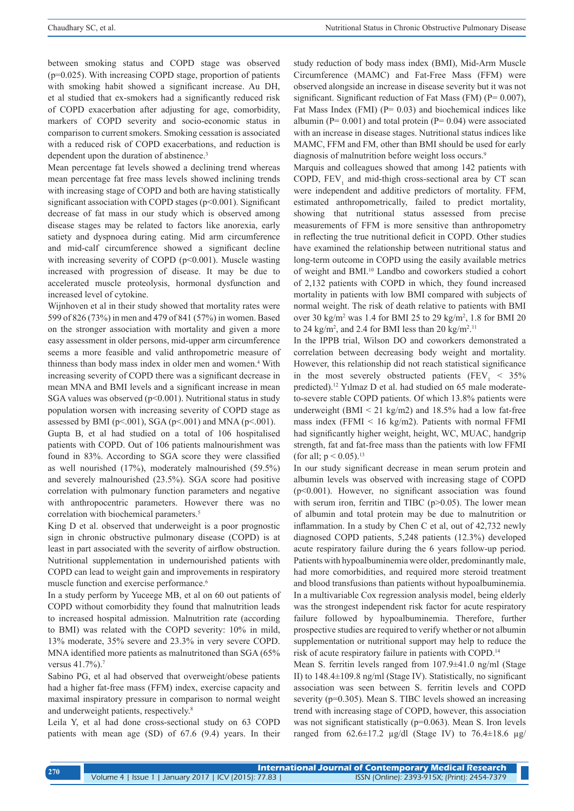between smoking status and COPD stage was observed (p=0.025). With increasing COPD stage, proportion of patients with smoking habit showed a significant increase. Au DH, et al studied that ex-smokers had a significantly reduced risk of COPD exacerbation after adjusting for age, comorbidity, markers of COPD severity and socio-economic status in comparison to current smokers. Smoking cessation is associated with a reduced risk of COPD exacerbations, and reduction is dependent upon the duration of abstinence.<sup>3</sup>

Mean percentage fat levels showed a declining trend whereas mean percentage fat free mass levels showed inclining trends with increasing stage of COPD and both are having statistically significant association with COPD stages (p<0.001). Significant decrease of fat mass in our study which is observed among disease stages may be related to factors like anorexia, early satiety and dyspnoea during eating. Mid arm circumference and mid-calf circumference showed a significant decline with increasing severity of COPD  $(p<0.001)$ . Muscle wasting increased with progression of disease. It may be due to accelerated muscle proteolysis, hormonal dysfunction and increased level of cytokine.

Wijnhoven et al in their study showed that mortality rates were 599 of 826 (73%) in men and 479 of 841 (57%) in women. Based on the stronger association with mortality and given a more easy assessment in older persons, mid-upper arm circumference seems a more feasible and valid anthropometric measure of thinness than body mass index in older men and women.4 With increasing severity of COPD there was a significant decrease in mean MNA and BMI levels and a significant increase in mean SGA values was observed ( $p<0.001$ ). Nutritional status in study population worsen with increasing severity of COPD stage as assessed by BMI (p<.001), SGA (p<.001) and MNA (p<.001).

Gupta B, et al had studied on a total of 106 hospitalised patients with COPD. Out of 106 patients malnourishment was found in 83%. According to SGA score they were classified as well nourished (17%), moderately malnourished (59.5%) and severely malnourished (23.5%). SGA score had positive correlation with pulmonary function parameters and negative with anthropocentric parameters. However there was no correlation with biochemical parameters.<sup>5</sup>

King D et al. observed that underweight is a poor prognostic sign in chronic obstructive pulmonary disease (COPD) is at least in part associated with the severity of airflow obstruction. Nutritional supplementation in undernourished patients with COPD can lead to weight gain and improvements in respiratory muscle function and exercise performance.<sup>6</sup>

In a study perform by Yuceege MB, et al on 60 out patients of COPD without comorbidity they found that malnutrition leads to increased hospital admission. Malnutrition rate (according to BMI) was related with the COPD severity: 10% in mild, 13% moderate, 35% severe and 23.3% in very severe COPD. MNA identified more patients as malnutritoned than SGA (65% versus 41.7%).<sup>7</sup>

Sabino PG, et al had observed that overweight/obese patients had a higher fat-free mass (FFM) index, exercise capacity and maximal inspiratory pressure in comparison to normal weight and underweight patients, respectively.<sup>8</sup>

Leila Y, et al had done cross-sectional study on 63 COPD patients with mean age (SD) of 67.6 (9.4) years. In their

study reduction of body mass index (BMI), Mid-Arm Muscle Circumference (MAMC) and Fat-Free Mass (FFM) were observed alongside an increase in disease severity but it was not significant. Significant reduction of Fat Mass (FM) (P= 0.007), Fat Mass Index (FMI) (P= 0.03) and biochemical indices like albumin ( $P = 0.001$ ) and total protein ( $P = 0.04$ ) were associated with an increase in disease stages. Nutritional status indices like MAMC, FFM and FM, other than BMI should be used for early diagnosis of malnutrition before weight loss occurs.<sup>9</sup>

Marquis and colleagues showed that among 142 patients with COPD,  $FEV<sub>1</sub>$  and mid-thigh cross-sectional area by CT scan were independent and additive predictors of mortality. FFM, estimated anthropometrically, failed to predict mortality, showing that nutritional status assessed from precise measurements of FFM is more sensitive than anthropometry in reflecting the true nutritional deficit in COPD. Other studies have examined the relationship between nutritional status and long-term outcome in COPD using the easily available metrics of weight and BMI.10 Landbo and coworkers studied a cohort of 2,132 patients with COPD in which, they found increased mortality in patients with low BMI compared with subjects of normal weight. The risk of death relative to patients with BMI over 30 kg/m2 was 1.4 for BMI 25 to 29 kg/m2 , 1.8 for BMI 20 to 24 kg/m<sup>2</sup>, and 2.4 for BMI less than 20 kg/m<sup>2</sup>.<sup>11</sup>

In the IPPB trial, Wilson DO and coworkers demonstrated a correlation between decreasing body weight and mortality. However, this relationship did not reach statistical significance in the most severely obstructed patients (FEV<sub>1</sub> <  $35\%$ predicted).<sup>12</sup> Yulmaz D et al. had studied on 65 male moderateto-severe stable COPD patients. Of which 13.8% patients were underweight (BMI  $\leq$  21 kg/m2) and 18.5% had a low fat-free mass index (FFMI  $\leq 16$  kg/m2). Patients with normal FFMI had significantly higher weight, height, WC, MUAC, handgrip strength, fat and fat-free mass than the patients with low FFMI (for all;  $p < 0.05$ ).<sup>13</sup>

In our study significant decrease in mean serum protein and albumin levels was observed with increasing stage of COPD (p<0.001). However, no significant association was found with serum iron, ferritin and TIBC (p>0.05). The lower mean of albumin and total protein may be due to malnutrition or inflammation. In a study by Chen C et al, out of 42,732 newly diagnosed COPD patients, 5,248 patients (12.3%) developed acute respiratory failure during the 6 years follow-up period. Patients with hypoalbuminemia were older, predominantly male, had more comorbidities, and required more steroid treatment and blood transfusions than patients without hypoalbuminemia. In a multivariable Cox regression analysis model, being elderly was the strongest independent risk factor for acute respiratory failure followed by hypoalbuminemia. Therefore, further prospective studies are required to verify whether or not albumin supplementation or nutritional support may help to reduce the risk of acute respiratory failure in patients with COPD.14

Mean S. ferritin levels ranged from 107.9±41.0 ng/ml (Stage II) to 148.4±109.8 ng/ml (Stage IV). Statistically, no significant association was seen between S. ferritin levels and COPD severity (p=0.305). Mean S. TIBC levels showed an increasing trend with increasing stage of COPD, however, this association was not significant statistically (p=0.063). Mean S. Iron levels ranged from  $62.6\pm17.2$  µg/dl (Stage IV) to  $76.4\pm18.6$  µg/